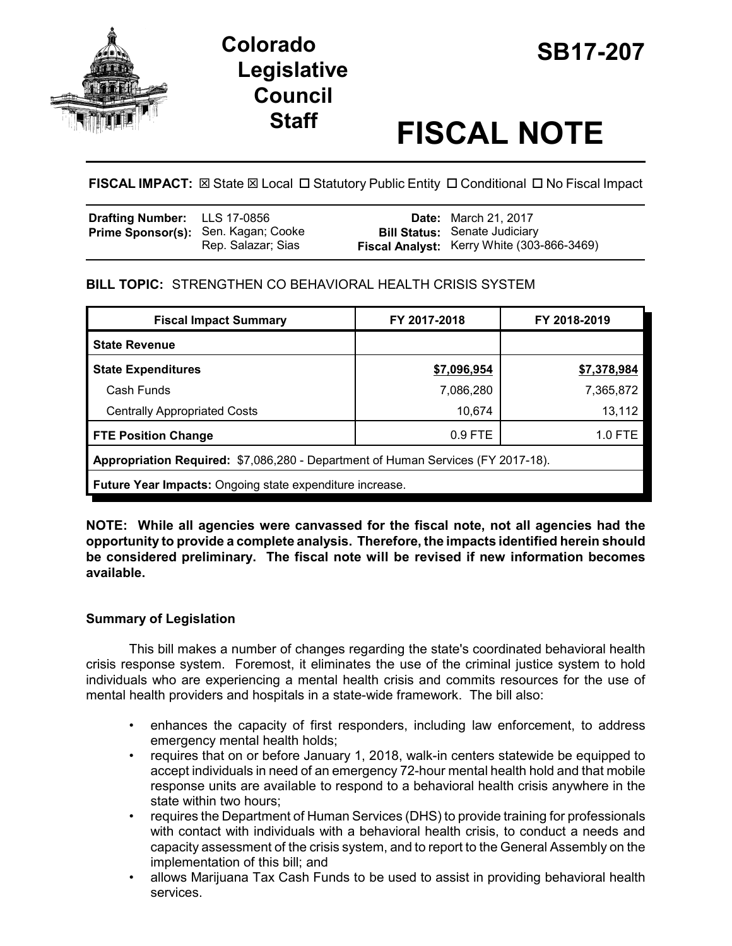

# **SB17-207 Colorado Legislative Council**

# **Staff FISCAL NOTE**

**FISCAL IMPACT:**  $\boxtimes$  **State**  $\boxtimes$  **Local □ Statutory Public Entity □ Conditional □ No Fiscal Impact** 

| Drafting Number: LLS 17-0856 |                                                           | <b>Date:</b> March 21, 2017                                                               |
|------------------------------|-----------------------------------------------------------|-------------------------------------------------------------------------------------------|
|                              | Prime Sponsor(s): Sen. Kagan; Cooke<br>Rep. Salazar; Sias | <b>Bill Status: Senate Judiciary</b><br><b>Fiscal Analyst:</b> Kerry White (303-866-3469) |

## **BILL TOPIC:** STRENGTHEN CO BEHAVIORAL HEALTH CRISIS SYSTEM

| <b>Fiscal Impact Summary</b>                                                     | FY 2017-2018 | FY 2018-2019 |  |  |  |
|----------------------------------------------------------------------------------|--------------|--------------|--|--|--|
| <b>State Revenue</b>                                                             |              |              |  |  |  |
| <b>State Expenditures</b>                                                        | \$7,096,954  | \$7,378,984  |  |  |  |
| Cash Funds                                                                       | 7,086,280    | 7,365,872    |  |  |  |
| <b>Centrally Appropriated Costs</b>                                              | 10,674       | 13,112       |  |  |  |
| <b>FTE Position Change</b>                                                       | $0.9$ FTE    | 1.0 FTE      |  |  |  |
| Appropriation Required: \$7,086,280 - Department of Human Services (FY 2017-18). |              |              |  |  |  |
| Future Year Impacts: Ongoing state expenditure increase.                         |              |              |  |  |  |

**NOTE: While all agencies were canvassed for the fiscal note, not all agencies had the opportunity to provide a complete analysis. Therefore, the impacts identified herein should be considered preliminary. The fiscal note will be revised if new information becomes available.**

### **Summary of Legislation**

This bill makes a number of changes regarding the state's coordinated behavioral health crisis response system. Foremost, it eliminates the use of the criminal justice system to hold individuals who are experiencing a mental health crisis and commits resources for the use of mental health providers and hospitals in a state-wide framework. The bill also:

- enhances the capacity of first responders, including law enforcement, to address emergency mental health holds;
- requires that on or before January 1, 2018, walk-in centers statewide be equipped to accept individuals in need of an emergency 72-hour mental health hold and that mobile response units are available to respond to a behavioral health crisis anywhere in the state within two hours;
- requires the Department of Human Services (DHS) to provide training for professionals with contact with individuals with a behavioral health crisis, to conduct a needs and capacity assessment of the crisis system, and to report to the General Assembly on the implementation of this bill; and
- allows Marijuana Tax Cash Funds to be used to assist in providing behavioral health services.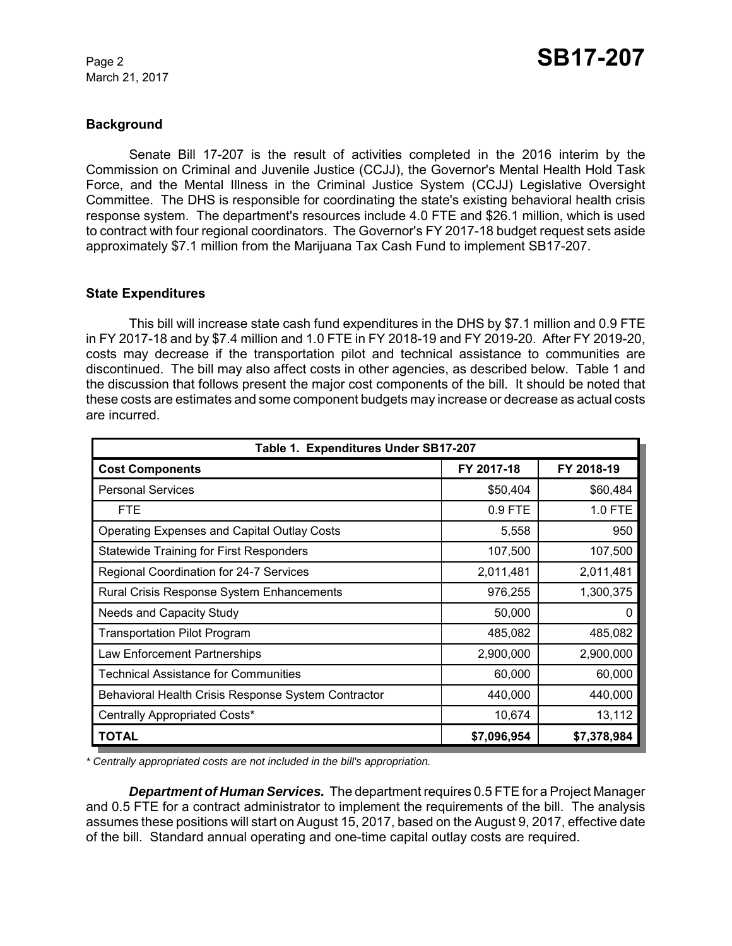#### **Background**

Senate Bill 17-207 is the result of activities completed in the 2016 interim by the Commission on Criminal and Juvenile Justice (CCJJ), the Governor's Mental Health Hold Task Force, and the Mental Illness in the Criminal Justice System (CCJJ) Legislative Oversight Committee. The DHS is responsible for coordinating the state's existing behavioral health crisis response system. The department's resources include 4.0 FTE and \$26.1 million, which is used to contract with four regional coordinators. The Governor's FY 2017-18 budget request sets aside approximately \$7.1 million from the Marijuana Tax Cash Fund to implement SB17-207.

#### **State Expenditures**

This bill will increase state cash fund expenditures in the DHS by \$7.1 million and 0.9 FTE in FY 2017-18 and by \$7.4 million and 1.0 FTE in FY 2018-19 and FY 2019-20. After FY 2019-20, costs may decrease if the transportation pilot and technical assistance to communities are discontinued. The bill may also affect costs in other agencies, as described below. Table 1 and the discussion that follows present the major cost components of the bill. It should be noted that these costs are estimates and some component budgets may increase or decrease as actual costs are incurred.

| Table 1. Expenditures Under SB17-207                |             |             |  |  |  |
|-----------------------------------------------------|-------------|-------------|--|--|--|
| <b>Cost Components</b>                              | FY 2017-18  | FY 2018-19  |  |  |  |
| <b>Personal Services</b>                            | \$50,404    | \$60,484    |  |  |  |
| <b>FTE</b>                                          | 0.9 FTE     | 1.0 FTE     |  |  |  |
| Operating Expenses and Capital Outlay Costs         | 5,558       | 950         |  |  |  |
| <b>Statewide Training for First Responders</b>      | 107,500     | 107,500     |  |  |  |
| Regional Coordination for 24-7 Services             | 2,011,481   | 2,011,481   |  |  |  |
| <b>Rural Crisis Response System Enhancements</b>    | 976,255     | 1,300,375   |  |  |  |
| <b>Needs and Capacity Study</b>                     | 50,000      | O           |  |  |  |
| <b>Transportation Pilot Program</b>                 | 485,082     | 485,082     |  |  |  |
| Law Enforcement Partnerships                        | 2,900,000   | 2,900,000   |  |  |  |
| <b>Technical Assistance for Communities</b>         | 60,000      | 60,000      |  |  |  |
| Behavioral Health Crisis Response System Contractor | 440,000     | 440,000     |  |  |  |
| Centrally Appropriated Costs*                       | 10,674      | 13,112      |  |  |  |
| <b>TOTAL</b>                                        | \$7,096,954 | \$7,378,984 |  |  |  |

*\* Centrally appropriated costs are not included in the bill's appropriation.*

*Department of Human Services.* The department requires 0.5 FTE for a Project Manager and 0.5 FTE for a contract administrator to implement the requirements of the bill. The analysis assumes these positions will start on August 15, 2017, based on the August 9, 2017, effective date of the bill. Standard annual operating and one-time capital outlay costs are required.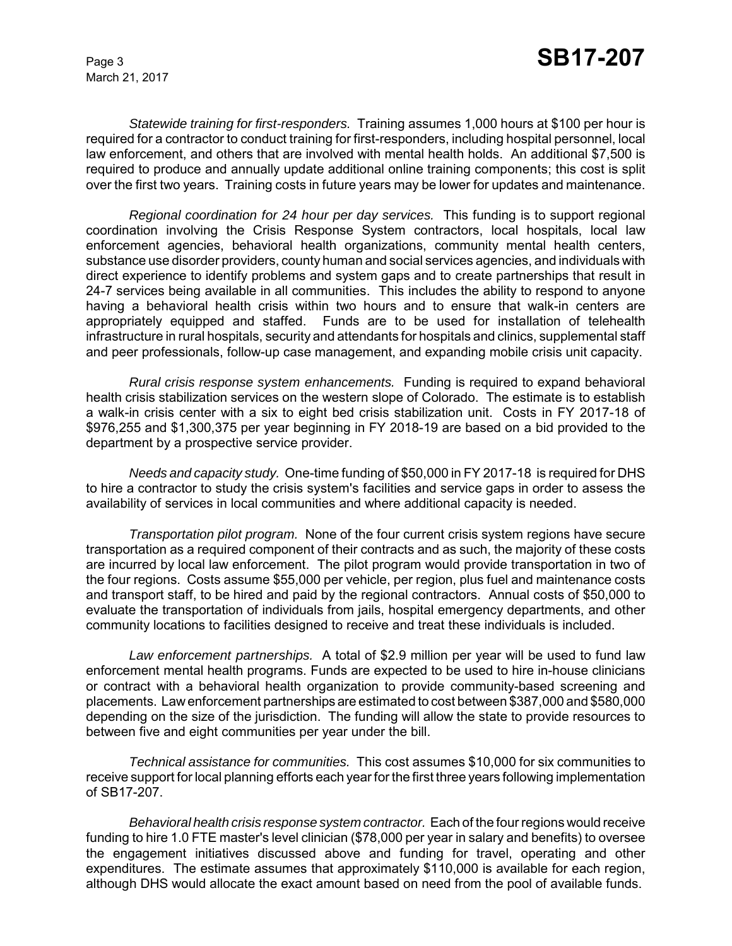*Statewide training for first-responders.* Training assumes 1,000 hours at \$100 per hour is required for a contractor to conduct training for first-responders, including hospital personnel, local law enforcement, and others that are involved with mental health holds. An additional \$7,500 is required to produce and annually update additional online training components; this cost is split over the first two years. Training costs in future years may be lower for updates and maintenance.

*Regional coordination for 24 hour per day services.* This funding is to support regional coordination involving the Crisis Response System contractors, local hospitals, local law enforcement agencies, behavioral health organizations, community mental health centers, substance use disorder providers, county human and social services agencies, and individuals with direct experience to identify problems and system gaps and to create partnerships that result in 24-7 services being available in all communities. This includes the ability to respond to anyone having a behavioral health crisis within two hours and to ensure that walk-in centers are appropriately equipped and staffed. Funds are to be used for installation of telehealth infrastructure in rural hospitals, security and attendants for hospitals and clinics, supplemental staff and peer professionals, follow-up case management, and expanding mobile crisis unit capacity.

*Rural crisis response system enhancements.* Funding is required to expand behavioral health crisis stabilization services on the western slope of Colorado. The estimate is to establish a walk-in crisis center with a six to eight bed crisis stabilization unit. Costs in FY 2017-18 of \$976,255 and \$1,300,375 per year beginning in FY 2018-19 are based on a bid provided to the department by a prospective service provider.

*Needs and capacity study.* One-time funding of \$50,000 in FY 2017-18 is required for DHS to hire a contractor to study the crisis system's facilities and service gaps in order to assess the availability of services in local communities and where additional capacity is needed.

*Transportation pilot program.* None of the four current crisis system regions have secure transportation as a required component of their contracts and as such, the majority of these costs are incurred by local law enforcement. The pilot program would provide transportation in two of the four regions. Costs assume \$55,000 per vehicle, per region, plus fuel and maintenance costs and transport staff, to be hired and paid by the regional contractors. Annual costs of \$50,000 to evaluate the transportation of individuals from jails, hospital emergency departments, and other community locations to facilities designed to receive and treat these individuals is included.

*Law enforcement partnerships.* A total of \$2.9 million per year will be used to fund law enforcement mental health programs. Funds are expected to be used to hire in-house clinicians or contract with a behavioral health organization to provide community-based screening and placements. Law enforcement partnerships are estimated to cost between \$387,000 and \$580,000 depending on the size of the jurisdiction. The funding will allow the state to provide resources to between five and eight communities per year under the bill.

*Technical assistance for communities.* This cost assumes \$10,000 for six communities to receive support for local planning efforts each year for the first three years following implementation of SB17-207.

*Behavioral health crisis response system contractor.* Each of the four regions would receive funding to hire 1.0 FTE master's level clinician (\$78,000 per year in salary and benefits) to oversee the engagement initiatives discussed above and funding for travel, operating and other expenditures. The estimate assumes that approximately \$110,000 is available for each region, although DHS would allocate the exact amount based on need from the pool of available funds.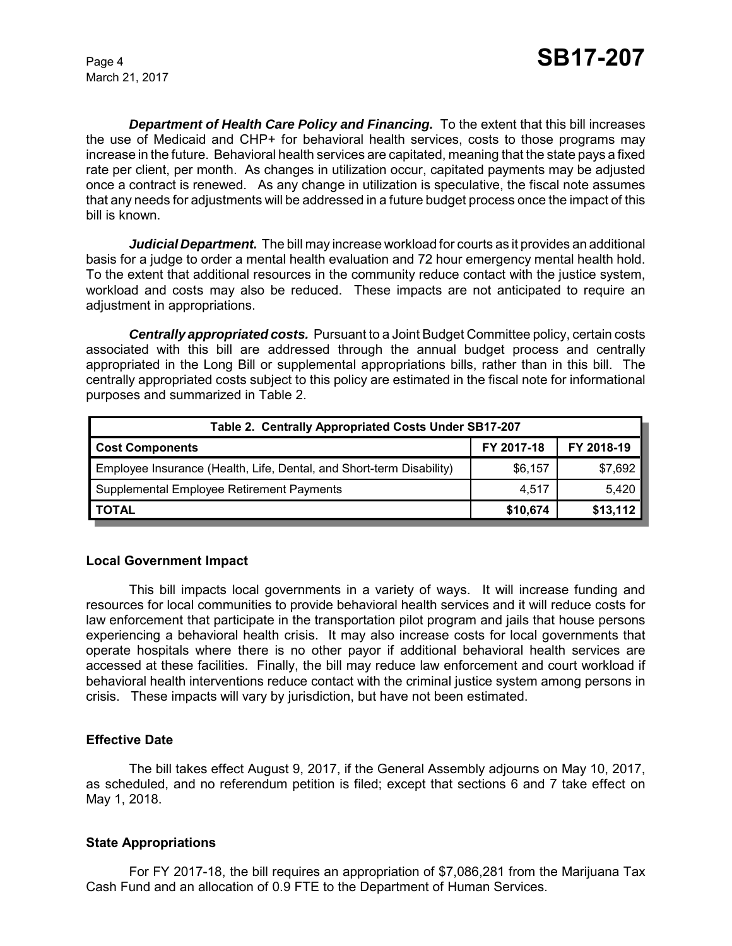*Department of Health Care Policy and Financing.* To the extent that this bill increases the use of Medicaid and CHP+ for behavioral health services, costs to those programs may increase in the future. Behavioral health services are capitated, meaning that the state pays a fixed rate per client, per month. As changes in utilization occur, capitated payments may be adjusted once a contract is renewed. As any change in utilization is speculative, the fiscal note assumes that any needs for adjustments will be addressed in a future budget process once the impact of this bill is known.

*Judicial Department.* The bill may increase workload for courts as it provides an additional basis for a judge to order a mental health evaluation and 72 hour emergency mental health hold. To the extent that additional resources in the community reduce contact with the justice system, workload and costs may also be reduced. These impacts are not anticipated to require an adjustment in appropriations.

*Centrally appropriated costs.* Pursuant to a Joint Budget Committee policy, certain costs associated with this bill are addressed through the annual budget process and centrally appropriated in the Long Bill or supplemental appropriations bills, rather than in this bill. The centrally appropriated costs subject to this policy are estimated in the fiscal note for informational purposes and summarized in Table 2.

| Table 2. Centrally Appropriated Costs Under SB17-207                 |            |            |  |  |  |
|----------------------------------------------------------------------|------------|------------|--|--|--|
| <b>Cost Components</b>                                               | FY 2017-18 | FY 2018-19 |  |  |  |
| Employee Insurance (Health, Life, Dental, and Short-term Disability) | \$6,157    | \$7,692    |  |  |  |
| Supplemental Employee Retirement Payments                            | 4,517      | 5,420      |  |  |  |
| <b>TOTAL</b>                                                         | \$10,674   | \$13,112   |  |  |  |

#### **Local Government Impact**

This bill impacts local governments in a variety of ways. It will increase funding and resources for local communities to provide behavioral health services and it will reduce costs for law enforcement that participate in the transportation pilot program and jails that house persons experiencing a behavioral health crisis. It may also increase costs for local governments that operate hospitals where there is no other payor if additional behavioral health services are accessed at these facilities. Finally, the bill may reduce law enforcement and court workload if behavioral health interventions reduce contact with the criminal justice system among persons in crisis. These impacts will vary by jurisdiction, but have not been estimated.

#### **Effective Date**

The bill takes effect August 9, 2017, if the General Assembly adjourns on May 10, 2017, as scheduled, and no referendum petition is filed; except that sections 6 and 7 take effect on May 1, 2018.

#### **State Appropriations**

For FY 2017-18, the bill requires an appropriation of \$7,086,281 from the Marijuana Tax Cash Fund and an allocation of 0.9 FTE to the Department of Human Services.